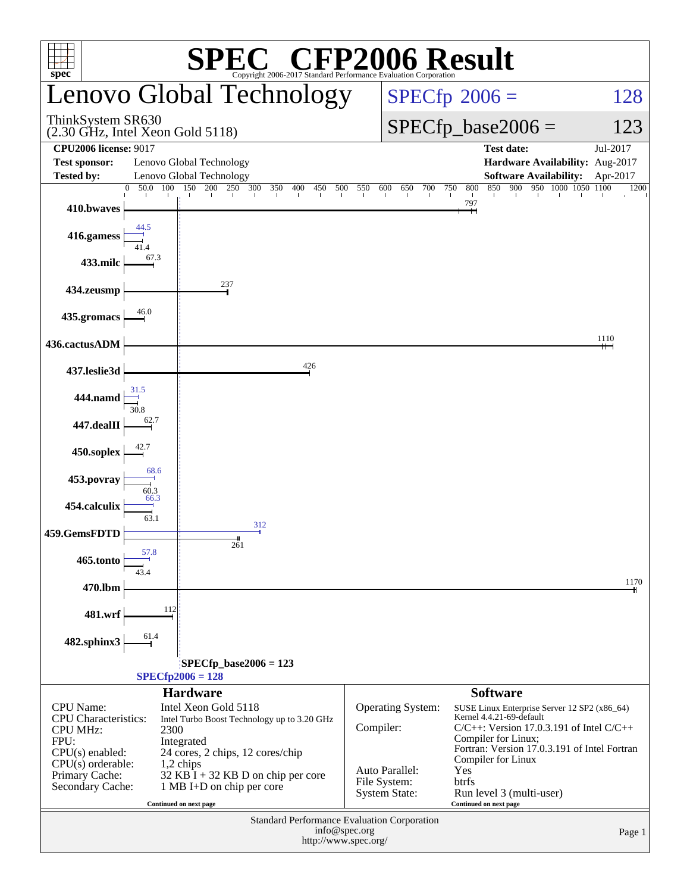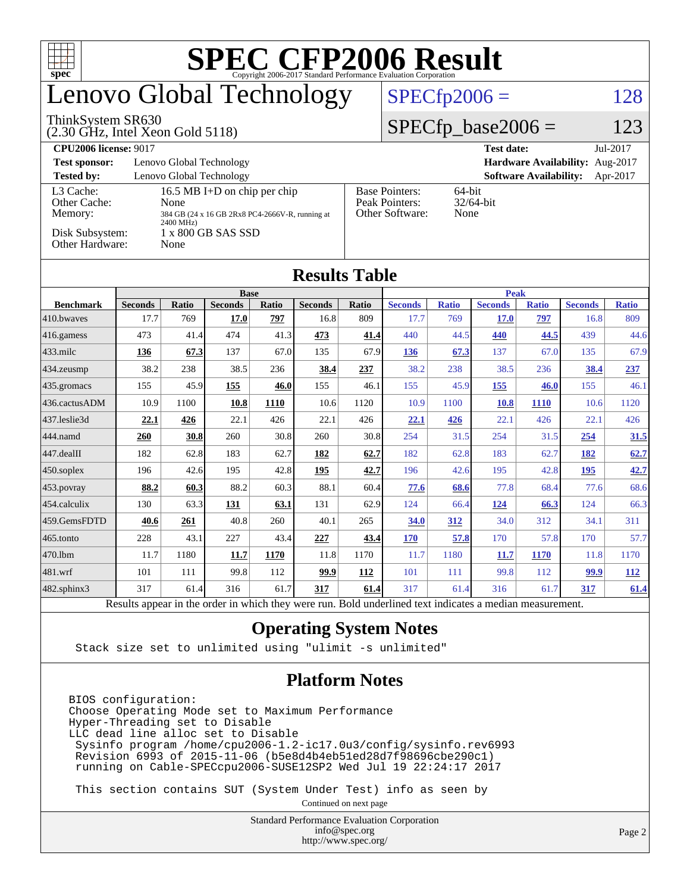| <b>SPEC CFP2006 Result</b><br>$\Box$<br>$spec^*$<br>Copyright 2006-2017 Standard Performance Evaluation Corporation |                                                                               |              |                        |              |                        |              |                                                                |                     |                               |                     |                        |                     |  |
|---------------------------------------------------------------------------------------------------------------------|-------------------------------------------------------------------------------|--------------|------------------------|--------------|------------------------|--------------|----------------------------------------------------------------|---------------------|-------------------------------|---------------------|------------------------|---------------------|--|
| enovo Global Technology                                                                                             |                                                                               |              |                        |              |                        |              | $SPECfp2006 =$<br>128                                          |                     |                               |                     |                        |                     |  |
| ThinkSystem SR630<br>$(2.30 \text{ GHz}, \text{Intel Xeon Gold } 5118)$                                             |                                                                               |              |                        |              |                        |              | $SPECfp\_base2006 =$                                           |                     |                               |                     |                        | 123                 |  |
| <b>CPU2006 license: 9017</b>                                                                                        |                                                                               |              |                        |              |                        |              |                                                                |                     | <b>Test date:</b>             |                     |                        | Jul-2017            |  |
| Hardware Availability: Aug-2017<br><b>Test sponsor:</b><br>Lenovo Global Technology                                 |                                                                               |              |                        |              |                        |              |                                                                |                     |                               |                     |                        |                     |  |
| <b>Tested by:</b><br>Lenovo Global Technology<br><b>Software Availability:</b><br>Apr-2017                          |                                                                               |              |                        |              |                        |              |                                                                |                     |                               |                     |                        |                     |  |
|                                                                                                                     | L <sub>3</sub> Cache:<br>16.5 MB I+D on chip per chip<br>Other Cache:<br>None |              |                        |              |                        |              | <b>Base Pointers:</b><br>64-bit<br>32/64-bit<br>Peak Pointers: |                     |                               |                     |                        |                     |  |
| Memory:<br>384 GB (24 x 16 GB 2Rx8 PC4-2666V-R, running at                                                          |                                                                               |              |                        |              |                        |              | Other Software:<br>None                                        |                     |                               |                     |                        |                     |  |
| 2400 MHz)<br>Disk Subsystem:<br>1 x 800 GB SAS SSD                                                                  |                                                                               |              |                        |              |                        |              |                                                                |                     |                               |                     |                        |                     |  |
| Other Hardware:<br>None                                                                                             |                                                                               |              |                        |              |                        |              |                                                                |                     |                               |                     |                        |                     |  |
|                                                                                                                     |                                                                               |              |                        |              |                        |              |                                                                |                     |                               |                     |                        |                     |  |
|                                                                                                                     |                                                                               |              |                        |              | <b>Results Table</b>   |              |                                                                |                     |                               |                     |                        |                     |  |
|                                                                                                                     | <b>Base</b>                                                                   |              |                        |              |                        |              | <b>Peak</b>                                                    |                     |                               |                     |                        |                     |  |
| <b>Benchmark</b><br>410.bwayes                                                                                      | <b>Seconds</b><br>17.7                                                        | Ratio<br>769 | <b>Seconds</b><br>17.0 | Ratio<br>797 | <b>Seconds</b><br>16.8 | Ratio<br>809 | <b>Seconds</b><br>17.7                                         | <b>Ratio</b><br>769 | <b>Seconds</b><br><b>17.0</b> | <b>Ratio</b><br>797 | <b>Seconds</b><br>16.8 | <b>Ratio</b><br>809 |  |
| 416.gamess                                                                                                          | 473                                                                           | 41.4         | 474                    | 41.3         | 473                    | 41.4         | 440                                                            | 44.5                | 440                           | 44.5                | 439                    | 44.6                |  |
| 433.milc                                                                                                            | 136                                                                           | 67.3         | 137                    | 67.0         | 135                    | 67.9         | 136                                                            | 67.3                | 137                           | 67.0                | 135                    | 67.9                |  |
| 434.zeusmp                                                                                                          | 38.2                                                                          | 238          | 38.5                   | 236          | 38.4                   | 237          | 38.2                                                           | 238                 | 38.5                          | 236                 | 38.4                   | 237                 |  |
| 435.gromacs                                                                                                         | 155                                                                           | 45.9         | 155                    | 46.0         | 155                    | 46.1         | 155                                                            | 45.9                | 155                           | 46.0                | 155                    | 46.1                |  |
| 436.cactusADM                                                                                                       | 10.9                                                                          | 1100         | 10.8                   | 1110         | 10.6                   | 1120         | 10.9                                                           | 1100                | <b>10.8</b>                   | 1110                | 10.6                   | 1120                |  |
| 437.leslie3d                                                                                                        | 22.1                                                                          | 426          | 22.1                   | 426          | 22.1                   | 426          | <u>22.1</u>                                                    | 426                 | 22.1                          | 426                 | 22.1                   | 426                 |  |
| 444.namd                                                                                                            | 260                                                                           | 30.8         | 260                    | 30.8         | 260                    | 30.8         | 254                                                            | 31.5                | 254                           | 31.5                | 254                    | 31.5                |  |
| 447.dealII                                                                                                          | 182                                                                           | 62.8         | 183                    | 62.7         | 182                    | 62.7         | 182                                                            | 62.8                | 183                           | 62.7                | 182                    | 62.7                |  |
| 450.soplex                                                                                                          | 196                                                                           | 42.6         | 195                    | 42.8         | 195                    | 42.7         | 196                                                            | 42.6                | 195                           | 42.8                | 195                    | 42.7                |  |
| 453.povray                                                                                                          | 88.2                                                                          | 60.3         | 88.2                   | 60.3         | 88.1                   | 60.4         | 77.6                                                           | 68.6                | 77.8                          | 68.4                | 77.6                   | 68.6                |  |
| 454.calculix                                                                                                        | 130                                                                           | 63.3         | 131                    | 63.1         | 131                    | 62.9         | 124                                                            | 66.4                | 124                           | 66.3                | 124                    | 66.3                |  |
| 459.GemsFDTD                                                                                                        | 40.6                                                                          | 261          | 40.8                   | 260          | 40.1                   | 265          | <b>34.0</b>                                                    | 312                 | 34.0                          | 312                 | 34.1                   | 311                 |  |
| 465.tonto                                                                                                           | 228                                                                           | 43.1         | 227                    | 43.4         | 227                    | 43.4         | <b>170</b>                                                     | 57.8                | 170                           | 57.8                | 170                    | 57.7                |  |
| 470.1bm                                                                                                             | 11.7                                                                          | 1180         | 11.7                   | 1170         | 11.8                   | 1170         | 11.7                                                           | 1180                | 11.7                          | 1170                | 11.8                   | 1170                |  |
| 481.wrf                                                                                                             | 101                                                                           | 111          | 99.8                   | 112          | 99.9                   | 112          | 101                                                            | 111                 | 99.8                          | 112                 | 99.9                   | 112                 |  |
| $482$ .sphinx $3$                                                                                                   | 317                                                                           | 61.4         | 316                    | 61.7         | 317                    | 61.4         | 317                                                            | 61.4                | 316                           | 61.7                | 317                    | 61.4                |  |

Results appear in the [order in which they were run.](http://www.spec.org/auto/cpu2006/Docs/result-fields.html#RunOrder) Bold underlined text [indicates a median measurement.](http://www.spec.org/auto/cpu2006/Docs/result-fields.html#Median)

#### **[Operating System Notes](http://www.spec.org/auto/cpu2006/Docs/result-fields.html#OperatingSystemNotes)**

Stack size set to unlimited using "ulimit -s unlimited"

#### **[Platform Notes](http://www.spec.org/auto/cpu2006/Docs/result-fields.html#PlatformNotes)**

BIOS configuration: Choose Operating Mode set to Maximum Performance Hyper-Threading set to Disable LLC dead line alloc set to Disable Sysinfo program /home/cpu2006-1.2-ic17.0u3/config/sysinfo.rev6993 Revision 6993 of 2015-11-06 (b5e8d4b4eb51ed28d7f98696cbe290c1) running on Cable-SPECcpu2006-SUSE12SP2 Wed Jul 19 22:24:17 2017

This section contains SUT (System Under Test) info as seen by

Continued on next page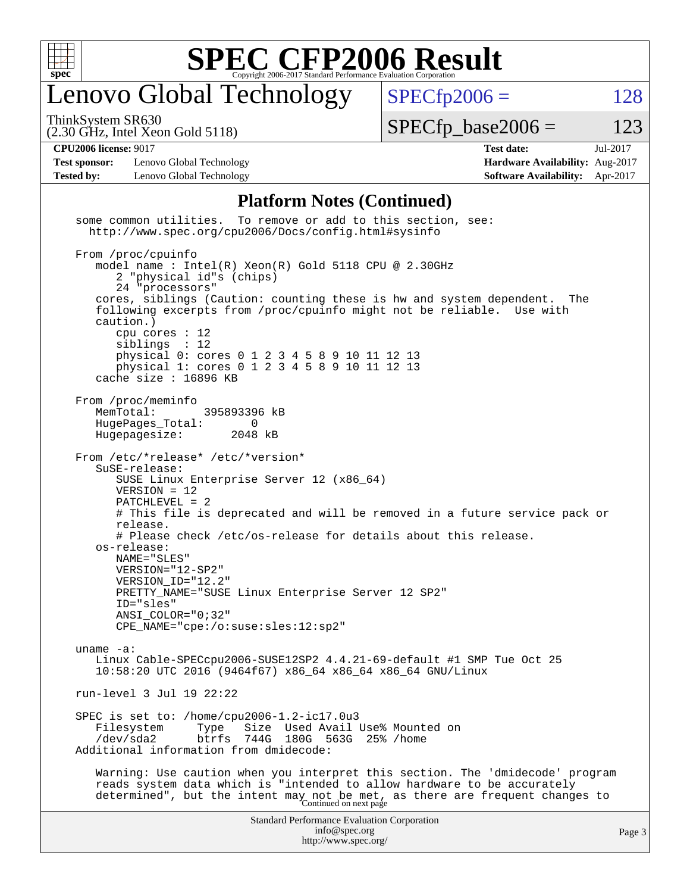

## enovo Global Technology

ThinkSystem SR630

 $SPECTp2006 = 128$ 

(2.30 GHz, Intel Xeon Gold 5118)

 $SPECTp\_base2006 = 123$ 

#### **[CPU2006 license:](http://www.spec.org/auto/cpu2006/Docs/result-fields.html#CPU2006license)** 9017 **[Test date:](http://www.spec.org/auto/cpu2006/Docs/result-fields.html#Testdate)** Jul-2017

**[Test sponsor:](http://www.spec.org/auto/cpu2006/Docs/result-fields.html#Testsponsor)** Lenovo Global Technology **[Hardware Availability:](http://www.spec.org/auto/cpu2006/Docs/result-fields.html#HardwareAvailability)** Aug-2017 **[Tested by:](http://www.spec.org/auto/cpu2006/Docs/result-fields.html#Testedby)** Lenovo Global Technology **[Software Availability:](http://www.spec.org/auto/cpu2006/Docs/result-fields.html#SoftwareAvailability)** Apr-2017

#### **[Platform Notes \(Continued\)](http://www.spec.org/auto/cpu2006/Docs/result-fields.html#PlatformNotes)**

Standard Performance Evaluation Corporation [info@spec.org](mailto:info@spec.org) <http://www.spec.org/> Page 3 some common utilities. To remove or add to this section, see: <http://www.spec.org/cpu2006/Docs/config.html#sysinfo> From /proc/cpuinfo model name : Intel(R) Xeon(R) Gold 5118 CPU @ 2.30GHz 2 "physical id"s (chips) 24 "processors" cores, siblings (Caution: counting these is hw and system dependent. The following excerpts from /proc/cpuinfo might not be reliable. Use with caution.) cpu cores : 12 siblings : 12 physical 0: cores 0 1 2 3 4 5 8 9 10 11 12 13 physical 1: cores 0 1 2 3 4 5 8 9 10 11 12 13 cache size : 16896 KB From /proc/meminfo MemTotal: 395893396 kB HugePages\_Total: 0<br>Hugepagesize: 2048 kB Hugepagesize: From /etc/\*release\* /etc/\*version\* SuSE-release: SUSE Linux Enterprise Server 12 (x86\_64) VERSION = 12 PATCHLEVEL = 2 # This file is deprecated and will be removed in a future service pack or release. # Please check /etc/os-release for details about this release. os-release: NAME="SLES" VERSION="12-SP2" VERSION\_ID="12.2" PRETTY\_NAME="SUSE Linux Enterprise Server 12 SP2" ID="sles" ANSI\_COLOR="0;32" CPE\_NAME="cpe:/o:suse:sles:12:sp2" uname -a: Linux Cable-SPECcpu2006-SUSE12SP2 4.4.21-69-default #1 SMP Tue Oct 25 10:58:20 UTC 2016 (9464f67) x86\_64 x86\_64 x86\_64 GNU/Linux run-level 3 Jul 19 22:22 SPEC is set to: /home/cpu2006-1.2-ic17.0u3 Filesystem Type Size Used Avail Use% Mounted on<br>
/dev/sda2 btrfs 744G 180G 563G 25% /home 744G 180G 563G 25% /home Additional information from dmidecode: Warning: Use caution when you interpret this section. The 'dmidecode' program reads system data which is "intended to allow hardware to be accurately determined", but the intent may not be met, as there are frequent changes to<br>Continued on next page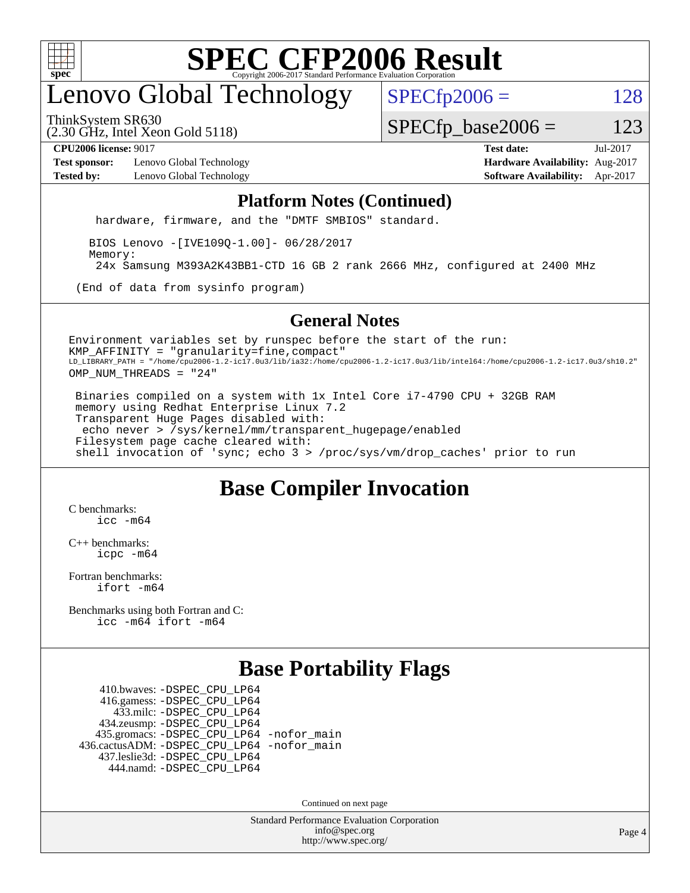

## enovo Global Technology

 $SPECTp2006 = 128$ 

ThinkSystem SR630

(2.30 GHz, Intel Xeon Gold 5118)

 $SPECTp\_base2006 = 123$ 

**[Test sponsor:](http://www.spec.org/auto/cpu2006/Docs/result-fields.html#Testsponsor)** Lenovo Global Technology **[Hardware Availability:](http://www.spec.org/auto/cpu2006/Docs/result-fields.html#HardwareAvailability)** Aug-2017 **[Tested by:](http://www.spec.org/auto/cpu2006/Docs/result-fields.html#Testedby)** Lenovo Global Technology **[Software Availability:](http://www.spec.org/auto/cpu2006/Docs/result-fields.html#SoftwareAvailability)** Apr-2017

**[CPU2006 license:](http://www.spec.org/auto/cpu2006/Docs/result-fields.html#CPU2006license)** 9017 **[Test date:](http://www.spec.org/auto/cpu2006/Docs/result-fields.html#Testdate)** Jul-2017

#### **[Platform Notes \(Continued\)](http://www.spec.org/auto/cpu2006/Docs/result-fields.html#PlatformNotes)**

hardware, firmware, and the "DMTF SMBIOS" standard.

 BIOS Lenovo -[IVE109Q-1.00]- 06/28/2017 Memory: 24x Samsung M393A2K43BB1-CTD 16 GB 2 rank 2666 MHz, configured at 2400 MHz

(End of data from sysinfo program)

#### **[General Notes](http://www.spec.org/auto/cpu2006/Docs/result-fields.html#GeneralNotes)**

Environment variables set by runspec before the start of the run: KMP\_AFFINITY = "granularity=fine,compact" LD\_LIBRARY\_PATH = "/home/cpu2006-1.2-ic17.0u3/lib/ia32:/home/cpu2006-1.2-ic17.0u3/lib/intel64:/home/cpu2006-1.2-ic17.0u3/sh10.2" OMP\_NUM\_THREADS = "24"

 Binaries compiled on a system with 1x Intel Core i7-4790 CPU + 32GB RAM memory using Redhat Enterprise Linux 7.2 Transparent Huge Pages disabled with: echo never > /sys/kernel/mm/transparent\_hugepage/enabled Filesystem page cache cleared with: shell invocation of 'sync; echo 3 > /proc/sys/vm/drop\_caches' prior to run

#### **[Base Compiler Invocation](http://www.spec.org/auto/cpu2006/Docs/result-fields.html#BaseCompilerInvocation)**

[C benchmarks](http://www.spec.org/auto/cpu2006/Docs/result-fields.html#Cbenchmarks): [icc -m64](http://www.spec.org/cpu2006/results/res2017q4/cpu2006-20170918-49489.flags.html#user_CCbase_intel_icc_64bit_bda6cc9af1fdbb0edc3795bac97ada53)

[C++ benchmarks:](http://www.spec.org/auto/cpu2006/Docs/result-fields.html#CXXbenchmarks) [icpc -m64](http://www.spec.org/cpu2006/results/res2017q4/cpu2006-20170918-49489.flags.html#user_CXXbase_intel_icpc_64bit_fc66a5337ce925472a5c54ad6a0de310)

[Fortran benchmarks](http://www.spec.org/auto/cpu2006/Docs/result-fields.html#Fortranbenchmarks): [ifort -m64](http://www.spec.org/cpu2006/results/res2017q4/cpu2006-20170918-49489.flags.html#user_FCbase_intel_ifort_64bit_ee9d0fb25645d0210d97eb0527dcc06e)

[Benchmarks using both Fortran and C](http://www.spec.org/auto/cpu2006/Docs/result-fields.html#BenchmarksusingbothFortranandC): [icc -m64](http://www.spec.org/cpu2006/results/res2017q4/cpu2006-20170918-49489.flags.html#user_CC_FCbase_intel_icc_64bit_bda6cc9af1fdbb0edc3795bac97ada53) [ifort -m64](http://www.spec.org/cpu2006/results/res2017q4/cpu2006-20170918-49489.flags.html#user_CC_FCbase_intel_ifort_64bit_ee9d0fb25645d0210d97eb0527dcc06e)

#### **[Base Portability Flags](http://www.spec.org/auto/cpu2006/Docs/result-fields.html#BasePortabilityFlags)**

 410.bwaves: [-DSPEC\\_CPU\\_LP64](http://www.spec.org/cpu2006/results/res2017q4/cpu2006-20170918-49489.flags.html#suite_basePORTABILITY410_bwaves_DSPEC_CPU_LP64) 416.gamess: [-DSPEC\\_CPU\\_LP64](http://www.spec.org/cpu2006/results/res2017q4/cpu2006-20170918-49489.flags.html#suite_basePORTABILITY416_gamess_DSPEC_CPU_LP64) 433.milc: [-DSPEC\\_CPU\\_LP64](http://www.spec.org/cpu2006/results/res2017q4/cpu2006-20170918-49489.flags.html#suite_basePORTABILITY433_milc_DSPEC_CPU_LP64) 434.zeusmp: [-DSPEC\\_CPU\\_LP64](http://www.spec.org/cpu2006/results/res2017q4/cpu2006-20170918-49489.flags.html#suite_basePORTABILITY434_zeusmp_DSPEC_CPU_LP64) 435.gromacs: [-DSPEC\\_CPU\\_LP64](http://www.spec.org/cpu2006/results/res2017q4/cpu2006-20170918-49489.flags.html#suite_basePORTABILITY435_gromacs_DSPEC_CPU_LP64) [-nofor\\_main](http://www.spec.org/cpu2006/results/res2017q4/cpu2006-20170918-49489.flags.html#user_baseLDPORTABILITY435_gromacs_f-nofor_main) 436.cactusADM: [-DSPEC\\_CPU\\_LP64](http://www.spec.org/cpu2006/results/res2017q4/cpu2006-20170918-49489.flags.html#suite_basePORTABILITY436_cactusADM_DSPEC_CPU_LP64) [-nofor\\_main](http://www.spec.org/cpu2006/results/res2017q4/cpu2006-20170918-49489.flags.html#user_baseLDPORTABILITY436_cactusADM_f-nofor_main) 437.leslie3d: [-DSPEC\\_CPU\\_LP64](http://www.spec.org/cpu2006/results/res2017q4/cpu2006-20170918-49489.flags.html#suite_basePORTABILITY437_leslie3d_DSPEC_CPU_LP64) 444.namd: [-DSPEC\\_CPU\\_LP64](http://www.spec.org/cpu2006/results/res2017q4/cpu2006-20170918-49489.flags.html#suite_basePORTABILITY444_namd_DSPEC_CPU_LP64)

Continued on next page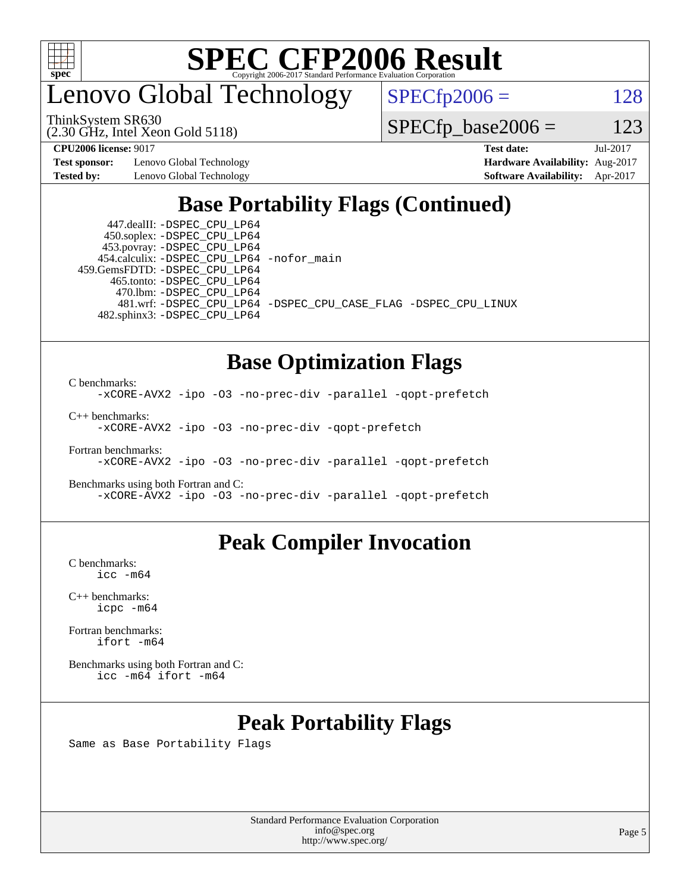

### enovo Global Technology

ThinkSystem SR630

(2.30 GHz, Intel Xeon Gold 5118)

 $SPECfp2006 = 128$  $SPECfp2006 = 128$ 

 $SPECfp\_base2006 = 123$ 

**[Test sponsor:](http://www.spec.org/auto/cpu2006/Docs/result-fields.html#Testsponsor)** Lenovo Global Technology **[Hardware Availability:](http://www.spec.org/auto/cpu2006/Docs/result-fields.html#HardwareAvailability)** Aug-2017

**[CPU2006 license:](http://www.spec.org/auto/cpu2006/Docs/result-fields.html#CPU2006license)** 9017 **[Test date:](http://www.spec.org/auto/cpu2006/Docs/result-fields.html#Testdate)** Jul-2017 **[Tested by:](http://www.spec.org/auto/cpu2006/Docs/result-fields.html#Testedby)** Lenovo Global Technology **[Software Availability:](http://www.spec.org/auto/cpu2006/Docs/result-fields.html#SoftwareAvailability)** Apr-2017

### **[Base Portability Flags \(Continued\)](http://www.spec.org/auto/cpu2006/Docs/result-fields.html#BasePortabilityFlags)**

 447.dealII: [-DSPEC\\_CPU\\_LP64](http://www.spec.org/cpu2006/results/res2017q4/cpu2006-20170918-49489.flags.html#suite_basePORTABILITY447_dealII_DSPEC_CPU_LP64) 450.soplex: [-DSPEC\\_CPU\\_LP64](http://www.spec.org/cpu2006/results/res2017q4/cpu2006-20170918-49489.flags.html#suite_basePORTABILITY450_soplex_DSPEC_CPU_LP64) 453.povray: [-DSPEC\\_CPU\\_LP64](http://www.spec.org/cpu2006/results/res2017q4/cpu2006-20170918-49489.flags.html#suite_basePORTABILITY453_povray_DSPEC_CPU_LP64) 454.calculix: [-DSPEC\\_CPU\\_LP64](http://www.spec.org/cpu2006/results/res2017q4/cpu2006-20170918-49489.flags.html#suite_basePORTABILITY454_calculix_DSPEC_CPU_LP64) [-nofor\\_main](http://www.spec.org/cpu2006/results/res2017q4/cpu2006-20170918-49489.flags.html#user_baseLDPORTABILITY454_calculix_f-nofor_main) 459.GemsFDTD: [-DSPEC\\_CPU\\_LP64](http://www.spec.org/cpu2006/results/res2017q4/cpu2006-20170918-49489.flags.html#suite_basePORTABILITY459_GemsFDTD_DSPEC_CPU_LP64) 465.tonto: [-DSPEC\\_CPU\\_LP64](http://www.spec.org/cpu2006/results/res2017q4/cpu2006-20170918-49489.flags.html#suite_basePORTABILITY465_tonto_DSPEC_CPU_LP64) 470.lbm: [-DSPEC\\_CPU\\_LP64](http://www.spec.org/cpu2006/results/res2017q4/cpu2006-20170918-49489.flags.html#suite_basePORTABILITY470_lbm_DSPEC_CPU_LP64) 482.sphinx3: [-DSPEC\\_CPU\\_LP64](http://www.spec.org/cpu2006/results/res2017q4/cpu2006-20170918-49489.flags.html#suite_basePORTABILITY482_sphinx3_DSPEC_CPU_LP64)

481.wrf: [-DSPEC\\_CPU\\_LP64](http://www.spec.org/cpu2006/results/res2017q4/cpu2006-20170918-49489.flags.html#suite_basePORTABILITY481_wrf_DSPEC_CPU_LP64) [-DSPEC\\_CPU\\_CASE\\_FLAG](http://www.spec.org/cpu2006/results/res2017q4/cpu2006-20170918-49489.flags.html#b481.wrf_baseCPORTABILITY_DSPEC_CPU_CASE_FLAG) [-DSPEC\\_CPU\\_LINUX](http://www.spec.org/cpu2006/results/res2017q4/cpu2006-20170918-49489.flags.html#b481.wrf_baseCPORTABILITY_DSPEC_CPU_LINUX)

### **[Base Optimization Flags](http://www.spec.org/auto/cpu2006/Docs/result-fields.html#BaseOptimizationFlags)**

[C benchmarks](http://www.spec.org/auto/cpu2006/Docs/result-fields.html#Cbenchmarks):

[-xCORE-AVX2](http://www.spec.org/cpu2006/results/res2017q4/cpu2006-20170918-49489.flags.html#user_CCbase_f-xCORE-AVX2) [-ipo](http://www.spec.org/cpu2006/results/res2017q4/cpu2006-20170918-49489.flags.html#user_CCbase_f-ipo) [-O3](http://www.spec.org/cpu2006/results/res2017q4/cpu2006-20170918-49489.flags.html#user_CCbase_f-O3) [-no-prec-div](http://www.spec.org/cpu2006/results/res2017q4/cpu2006-20170918-49489.flags.html#user_CCbase_f-no-prec-div) [-parallel](http://www.spec.org/cpu2006/results/res2017q4/cpu2006-20170918-49489.flags.html#user_CCbase_f-parallel) [-qopt-prefetch](http://www.spec.org/cpu2006/results/res2017q4/cpu2006-20170918-49489.flags.html#user_CCbase_f-qopt-prefetch)

[C++ benchmarks:](http://www.spec.org/auto/cpu2006/Docs/result-fields.html#CXXbenchmarks) [-xCORE-AVX2](http://www.spec.org/cpu2006/results/res2017q4/cpu2006-20170918-49489.flags.html#user_CXXbase_f-xCORE-AVX2) [-ipo](http://www.spec.org/cpu2006/results/res2017q4/cpu2006-20170918-49489.flags.html#user_CXXbase_f-ipo) [-O3](http://www.spec.org/cpu2006/results/res2017q4/cpu2006-20170918-49489.flags.html#user_CXXbase_f-O3) [-no-prec-div](http://www.spec.org/cpu2006/results/res2017q4/cpu2006-20170918-49489.flags.html#user_CXXbase_f-no-prec-div) [-qopt-prefetch](http://www.spec.org/cpu2006/results/res2017q4/cpu2006-20170918-49489.flags.html#user_CXXbase_f-qopt-prefetch)

[Fortran benchmarks](http://www.spec.org/auto/cpu2006/Docs/result-fields.html#Fortranbenchmarks): [-xCORE-AVX2](http://www.spec.org/cpu2006/results/res2017q4/cpu2006-20170918-49489.flags.html#user_FCbase_f-xCORE-AVX2) [-ipo](http://www.spec.org/cpu2006/results/res2017q4/cpu2006-20170918-49489.flags.html#user_FCbase_f-ipo) [-O3](http://www.spec.org/cpu2006/results/res2017q4/cpu2006-20170918-49489.flags.html#user_FCbase_f-O3) [-no-prec-div](http://www.spec.org/cpu2006/results/res2017q4/cpu2006-20170918-49489.flags.html#user_FCbase_f-no-prec-div) [-parallel](http://www.spec.org/cpu2006/results/res2017q4/cpu2006-20170918-49489.flags.html#user_FCbase_f-parallel) [-qopt-prefetch](http://www.spec.org/cpu2006/results/res2017q4/cpu2006-20170918-49489.flags.html#user_FCbase_f-qopt-prefetch)

[Benchmarks using both Fortran and C](http://www.spec.org/auto/cpu2006/Docs/result-fields.html#BenchmarksusingbothFortranandC): [-xCORE-AVX2](http://www.spec.org/cpu2006/results/res2017q4/cpu2006-20170918-49489.flags.html#user_CC_FCbase_f-xCORE-AVX2) [-ipo](http://www.spec.org/cpu2006/results/res2017q4/cpu2006-20170918-49489.flags.html#user_CC_FCbase_f-ipo) [-O3](http://www.spec.org/cpu2006/results/res2017q4/cpu2006-20170918-49489.flags.html#user_CC_FCbase_f-O3) [-no-prec-div](http://www.spec.org/cpu2006/results/res2017q4/cpu2006-20170918-49489.flags.html#user_CC_FCbase_f-no-prec-div) [-parallel](http://www.spec.org/cpu2006/results/res2017q4/cpu2006-20170918-49489.flags.html#user_CC_FCbase_f-parallel) [-qopt-prefetch](http://www.spec.org/cpu2006/results/res2017q4/cpu2006-20170918-49489.flags.html#user_CC_FCbase_f-qopt-prefetch)

#### **[Peak Compiler Invocation](http://www.spec.org/auto/cpu2006/Docs/result-fields.html#PeakCompilerInvocation)**

[C benchmarks](http://www.spec.org/auto/cpu2006/Docs/result-fields.html#Cbenchmarks): [icc -m64](http://www.spec.org/cpu2006/results/res2017q4/cpu2006-20170918-49489.flags.html#user_CCpeak_intel_icc_64bit_bda6cc9af1fdbb0edc3795bac97ada53)

[C++ benchmarks:](http://www.spec.org/auto/cpu2006/Docs/result-fields.html#CXXbenchmarks) [icpc -m64](http://www.spec.org/cpu2006/results/res2017q4/cpu2006-20170918-49489.flags.html#user_CXXpeak_intel_icpc_64bit_fc66a5337ce925472a5c54ad6a0de310)

[Fortran benchmarks](http://www.spec.org/auto/cpu2006/Docs/result-fields.html#Fortranbenchmarks): [ifort -m64](http://www.spec.org/cpu2006/results/res2017q4/cpu2006-20170918-49489.flags.html#user_FCpeak_intel_ifort_64bit_ee9d0fb25645d0210d97eb0527dcc06e)

[Benchmarks using both Fortran and C](http://www.spec.org/auto/cpu2006/Docs/result-fields.html#BenchmarksusingbothFortranandC): [icc -m64](http://www.spec.org/cpu2006/results/res2017q4/cpu2006-20170918-49489.flags.html#user_CC_FCpeak_intel_icc_64bit_bda6cc9af1fdbb0edc3795bac97ada53) [ifort -m64](http://www.spec.org/cpu2006/results/res2017q4/cpu2006-20170918-49489.flags.html#user_CC_FCpeak_intel_ifort_64bit_ee9d0fb25645d0210d97eb0527dcc06e)

### **[Peak Portability Flags](http://www.spec.org/auto/cpu2006/Docs/result-fields.html#PeakPortabilityFlags)**

Same as Base Portability Flags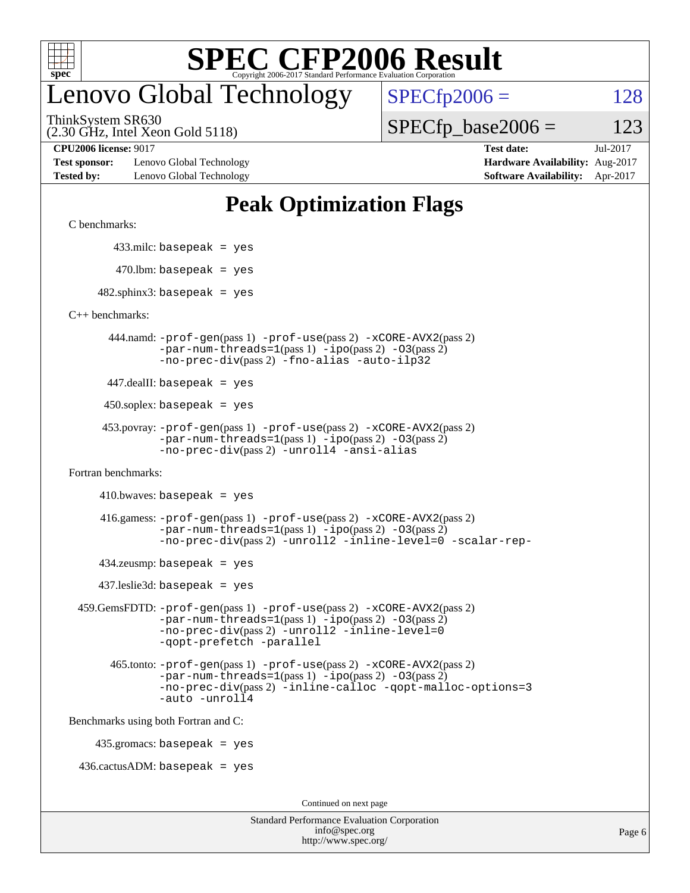

## enovo Global Technology

 $SPECTp2006 = 128$ 

(2.30 GHz, Intel Xeon Gold 5118) ThinkSystem SR630

 $SPECTp\_base2006 = 123$ 

**[Test sponsor:](http://www.spec.org/auto/cpu2006/Docs/result-fields.html#Testsponsor)** Lenovo Global Technology **[Hardware Availability:](http://www.spec.org/auto/cpu2006/Docs/result-fields.html#HardwareAvailability)** Aug-2017 **[Tested by:](http://www.spec.org/auto/cpu2006/Docs/result-fields.html#Testedby)** Lenovo Global Technology **[Software Availability:](http://www.spec.org/auto/cpu2006/Docs/result-fields.html#SoftwareAvailability)** Apr-2017

**[CPU2006 license:](http://www.spec.org/auto/cpu2006/Docs/result-fields.html#CPU2006license)** 9017 **[Test date:](http://www.spec.org/auto/cpu2006/Docs/result-fields.html#Testdate)** Jul-2017

#### **[Peak Optimization Flags](http://www.spec.org/auto/cpu2006/Docs/result-fields.html#PeakOptimizationFlags)**

[C benchmarks](http://www.spec.org/auto/cpu2006/Docs/result-fields.html#Cbenchmarks):

433.milc: basepeak = yes

 $470.$ lbm: basepeak = yes

 $482$ .sphinx3: basepeak = yes

[C++ benchmarks:](http://www.spec.org/auto/cpu2006/Docs/result-fields.html#CXXbenchmarks)

 444.namd: [-prof-gen](http://www.spec.org/cpu2006/results/res2017q4/cpu2006-20170918-49489.flags.html#user_peakPASS1_CXXFLAGSPASS1_LDFLAGS444_namd_prof_gen_e43856698f6ca7b7e442dfd80e94a8fc)(pass 1) [-prof-use](http://www.spec.org/cpu2006/results/res2017q4/cpu2006-20170918-49489.flags.html#user_peakPASS2_CXXFLAGSPASS2_LDFLAGS444_namd_prof_use_bccf7792157ff70d64e32fe3e1250b55)(pass 2) [-xCORE-AVX2](http://www.spec.org/cpu2006/results/res2017q4/cpu2006-20170918-49489.flags.html#user_peakPASS2_CXXFLAGSPASS2_LDFLAGS444_namd_f-xCORE-AVX2)(pass 2)  $-par-num-threads=1(pass 1) -ipo(pass 2) -O3(pass 2)$  $-par-num-threads=1(pass 1) -ipo(pass 2) -O3(pass 2)$  $-par-num-threads=1(pass 1) -ipo(pass 2) -O3(pass 2)$  $-par-num-threads=1(pass 1) -ipo(pass 2) -O3(pass 2)$  $-par-num-threads=1(pass 1) -ipo(pass 2) -O3(pass 2)$  $-par-num-threads=1(pass 1) -ipo(pass 2) -O3(pass 2)$ [-no-prec-div](http://www.spec.org/cpu2006/results/res2017q4/cpu2006-20170918-49489.flags.html#user_peakPASS2_CXXFLAGSPASS2_LDFLAGS444_namd_f-no-prec-div)(pass 2) [-fno-alias](http://www.spec.org/cpu2006/results/res2017q4/cpu2006-20170918-49489.flags.html#user_peakCXXOPTIMIZEOPTIMIZE444_namd_f-no-alias_694e77f6c5a51e658e82ccff53a9e63a) [-auto-ilp32](http://www.spec.org/cpu2006/results/res2017q4/cpu2006-20170918-49489.flags.html#user_peakCXXOPTIMIZE444_namd_f-auto-ilp32)

447.dealII: basepeak = yes

 $450$ .soplex: basepeak = yes

```
 453.povray: -prof-gen(pass 1) -prof-use(pass 2) -xCORE-AVX2(pass 2)
         -par-num-threads=1-ipo-O3(pass 2)-no-prec-div(pass 2) -unroll4 -ansi-alias
```
[Fortran benchmarks](http://www.spec.org/auto/cpu2006/Docs/result-fields.html#Fortranbenchmarks):

 $410.bwaves: basepeak = yes$ 

 416.gamess: [-prof-gen](http://www.spec.org/cpu2006/results/res2017q4/cpu2006-20170918-49489.flags.html#user_peakPASS1_FFLAGSPASS1_LDFLAGS416_gamess_prof_gen_e43856698f6ca7b7e442dfd80e94a8fc)(pass 1) [-prof-use](http://www.spec.org/cpu2006/results/res2017q4/cpu2006-20170918-49489.flags.html#user_peakPASS2_FFLAGSPASS2_LDFLAGS416_gamess_prof_use_bccf7792157ff70d64e32fe3e1250b55)(pass 2) [-xCORE-AVX2](http://www.spec.org/cpu2006/results/res2017q4/cpu2006-20170918-49489.flags.html#user_peakPASS2_FFLAGSPASS2_LDFLAGS416_gamess_f-xCORE-AVX2)(pass 2)  $-par-num-threads=1(pass 1) -ipo(pass 2) -O3(pass 2)$  $-par-num-threads=1(pass 1) -ipo(pass 2) -O3(pass 2)$  $-par-num-threads=1(pass 1) -ipo(pass 2) -O3(pass 2)$  $-par-num-threads=1(pass 1) -ipo(pass 2) -O3(pass 2)$  $-par-num-threads=1(pass 1) -ipo(pass 2) -O3(pass 2)$  $-par-num-threads=1(pass 1) -ipo(pass 2) -O3(pass 2)$ [-no-prec-div](http://www.spec.org/cpu2006/results/res2017q4/cpu2006-20170918-49489.flags.html#user_peakPASS2_FFLAGSPASS2_LDFLAGS416_gamess_f-no-prec-div)(pass 2) [-unroll2](http://www.spec.org/cpu2006/results/res2017q4/cpu2006-20170918-49489.flags.html#user_peakOPTIMIZE416_gamess_f-unroll_784dae83bebfb236979b41d2422d7ec2) [-inline-level=0](http://www.spec.org/cpu2006/results/res2017q4/cpu2006-20170918-49489.flags.html#user_peakOPTIMIZE416_gamess_f-inline-level_318d07a09274ad25e8d15dbfaa68ba50) [-scalar-rep-](http://www.spec.org/cpu2006/results/res2017q4/cpu2006-20170918-49489.flags.html#user_peakOPTIMIZE416_gamess_f-disablescalarrep_abbcad04450fb118e4809c81d83c8a1d)

 $434$ .zeusmp: basepeak = yes

437.leslie3d: basepeak = yes

```
 459.GemsFDTD: -prof-gen(pass 1) -prof-use(pass 2) -xCORE-AVX2(pass 2)
            -par-num-threads=1-ipo-O3(pass 2)-no-prec-div(pass 2) -unroll2 -inline-level=0
            -qopt-prefetch -parallel
```
 465.tonto: [-prof-gen](http://www.spec.org/cpu2006/results/res2017q4/cpu2006-20170918-49489.flags.html#user_peakPASS1_FFLAGSPASS1_LDFLAGS465_tonto_prof_gen_e43856698f6ca7b7e442dfd80e94a8fc)(pass 1) [-prof-use](http://www.spec.org/cpu2006/results/res2017q4/cpu2006-20170918-49489.flags.html#user_peakPASS2_FFLAGSPASS2_LDFLAGS465_tonto_prof_use_bccf7792157ff70d64e32fe3e1250b55)(pass 2) [-xCORE-AVX2](http://www.spec.org/cpu2006/results/res2017q4/cpu2006-20170918-49489.flags.html#user_peakPASS2_FFLAGSPASS2_LDFLAGS465_tonto_f-xCORE-AVX2)(pass 2)  $-par-num-threads=1(pass 1) -ipo(pass 2) -O3(pass 2)$  $-par-num-threads=1(pass 1) -ipo(pass 2) -O3(pass 2)$  $-par-num-threads=1(pass 1) -ipo(pass 2) -O3(pass 2)$  $-par-num-threads=1(pass 1) -ipo(pass 2) -O3(pass 2)$  $-par-num-threads=1(pass 1) -ipo(pass 2) -O3(pass 2)$  $-par-num-threads=1(pass 1) -ipo(pass 2) -O3(pass 2)$ [-no-prec-div](http://www.spec.org/cpu2006/results/res2017q4/cpu2006-20170918-49489.flags.html#user_peakPASS2_FFLAGSPASS2_LDFLAGS465_tonto_f-no-prec-div)(pass 2) [-inline-calloc](http://www.spec.org/cpu2006/results/res2017q4/cpu2006-20170918-49489.flags.html#user_peakOPTIMIZE465_tonto_f-inline-calloc) [-qopt-malloc-options=3](http://www.spec.org/cpu2006/results/res2017q4/cpu2006-20170918-49489.flags.html#user_peakOPTIMIZE465_tonto_f-qopt-malloc-options_0fcb435012e78f27d57f473818e45fe4) [-auto](http://www.spec.org/cpu2006/results/res2017q4/cpu2006-20170918-49489.flags.html#user_peakOPTIMIZE465_tonto_f-auto) [-unroll4](http://www.spec.org/cpu2006/results/res2017q4/cpu2006-20170918-49489.flags.html#user_peakOPTIMIZE465_tonto_f-unroll_4e5e4ed65b7fd20bdcd365bec371b81f)

[Benchmarks using both Fortran and C](http://www.spec.org/auto/cpu2006/Docs/result-fields.html#BenchmarksusingbothFortranandC):

435.gromacs: basepeak = yes

 $436.cactusADM:basepeak = yes$ 

Continued on next page

| <b>Standard Performance Evaluation Corporation</b> |
|----------------------------------------------------|
| info@spec.org                                      |
| http://www.spec.org/                               |